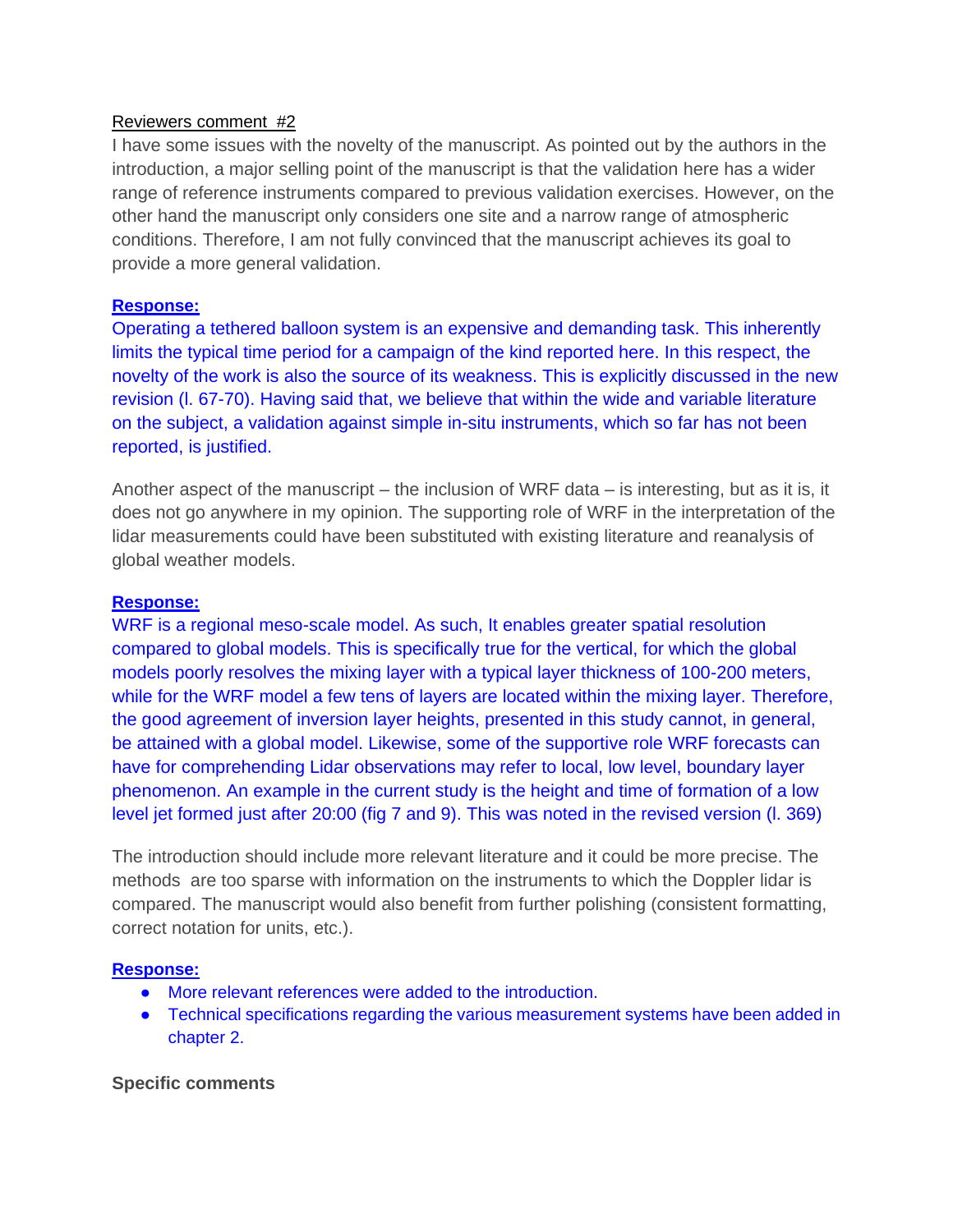## Reviewers comment #2

I have some issues with the novelty of the manuscript. As pointed out by the authors in the introduction, a major selling point of the manuscript is that the validation here has a wider range of reference instruments compared to previous validation exercises. However, on the other hand the manuscript only considers one site and a narrow range of atmospheric conditions. Therefore, I am not fully convinced that the manuscript achieves its goal to provide a more general validation.

## **Response:**

Operating a tethered balloon system is an expensive and demanding task. This inherently limits the typical time period for a campaign of the kind reported here. In this respect, the novelty of the work is also the source of its weakness. This is explicitly discussed in the new revision (l. 67-70). Having said that, we believe that within the wide and variable literature on the subject, a validation against simple in-situ instruments, which so far has not been reported, is justified.

Another aspect of the manuscript – the inclusion of WRF data – is interesting, but as it is, it does not go anywhere in my opinion. The supporting role of WRF in the interpretation of the lidar measurements could have been substituted with existing literature and reanalysis of global weather models.

#### **Response:**

WRF is a regional meso-scale model. As such, It enables greater spatial resolution compared to global models. This is specifically true for the vertical, for which the global models poorly resolves the mixing layer with a typical layer thickness of 100-200 meters, while for the WRF model a few tens of layers are located within the mixing layer. Therefore, the good agreement of inversion layer heights, presented in this study cannot, in general, be attained with a global model. Likewise, some of the supportive role WRF forecasts can have for comprehending Lidar observations may refer to local, low level, boundary layer phenomenon. An example in the current study is the height and time of formation of a low level jet formed just after 20:00 (fig 7 and 9). This was noted in the revised version (l. 369)

The introduction should include more relevant literature and it could be more precise. The methods are too sparse with information on the instruments to which the Doppler lidar is compared. The manuscript would also benefit from further polishing (consistent formatting, correct notation for units, etc.).

#### **Response:**

- More relevant references were added to the introduction.
- Technical specifications regarding the various measurement systems have been added in chapter 2.

## **Specific comments**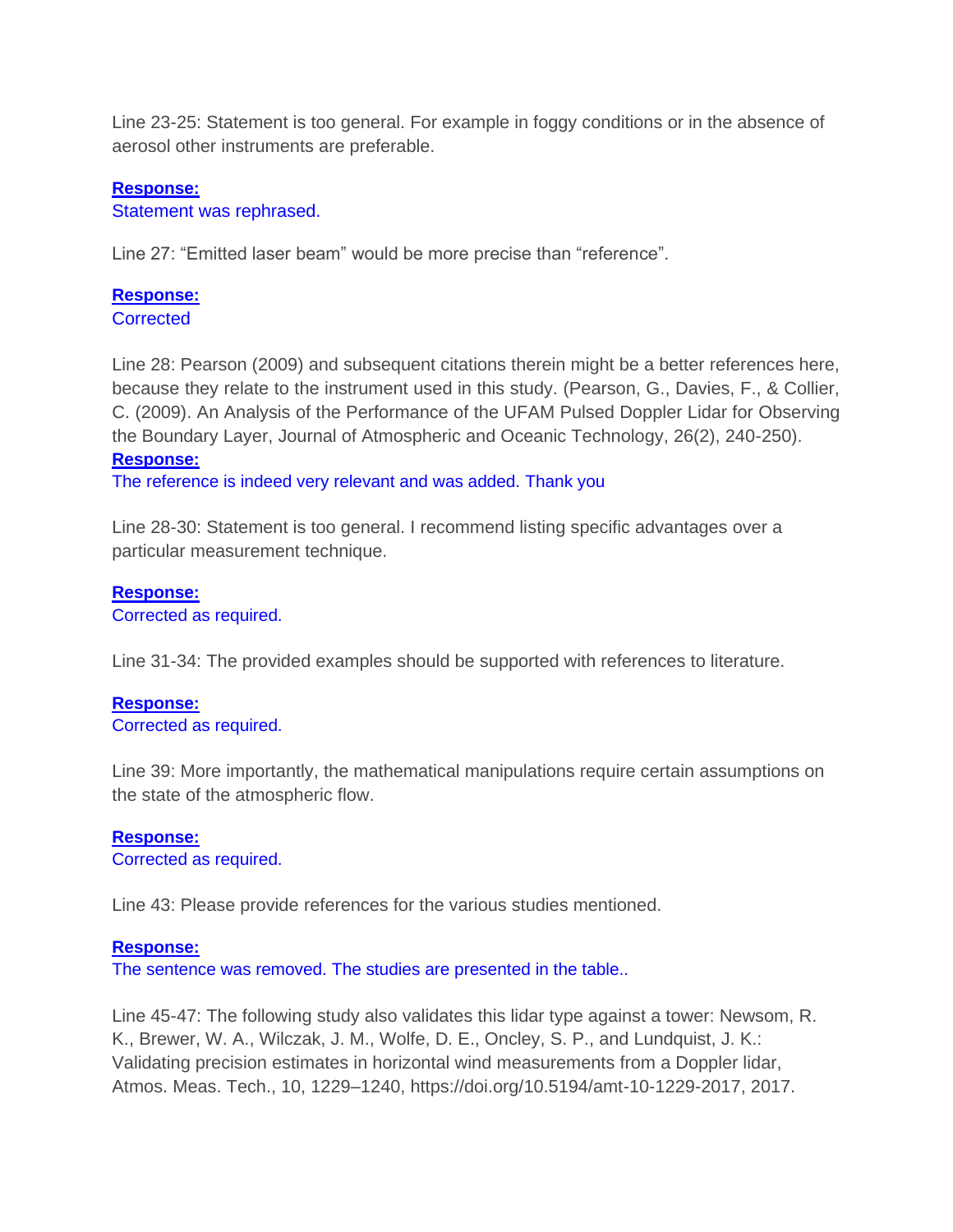Line 23-25: Statement is too general. For example in foggy conditions or in the absence of aerosol other instruments are preferable.

## **Response:**

Statement was rephrased.

Line 27: "Emitted laser beam" would be more precise than "reference".

# **Response:**

**Corrected** 

Line 28: Pearson (2009) and subsequent citations therein might be a better references here, because they relate to the instrument used in this study. (Pearson, G., Davies, F., & Collier, C. (2009). An Analysis of the Performance of the UFAM Pulsed Doppler Lidar for Observing the Boundary Layer, Journal of Atmospheric and Oceanic Technology, 26(2), 240-250). **Response:**

The reference is indeed very relevant and was added. Thank you

Line 28-30: Statement is too general. I recommend listing specific advantages over a particular measurement technique.

## **Response:**

Corrected as required.

Line 31-34: The provided examples should be supported with references to literature.

#### **Response:** Corrected as required.

Line 39: More importantly, the mathematical manipulations require certain assumptions on the state of the atmospheric flow.

# **Response:**

Corrected as required.

Line 43: Please provide references for the various studies mentioned.

## **Response:**

The sentence was removed. The studies are presented in the table..

Line 45-47: The following study also validates this lidar type against a tower: Newsom, R. K., Brewer, W. A., Wilczak, J. M., Wolfe, D. E., Oncley, S. P., and Lundquist, J. K.: Validating precision estimates in horizontal wind measurements from a Doppler lidar, Atmos. Meas. Tech., 10, 1229–1240, https://doi.org/10.5194/amt-10-1229-2017, 2017.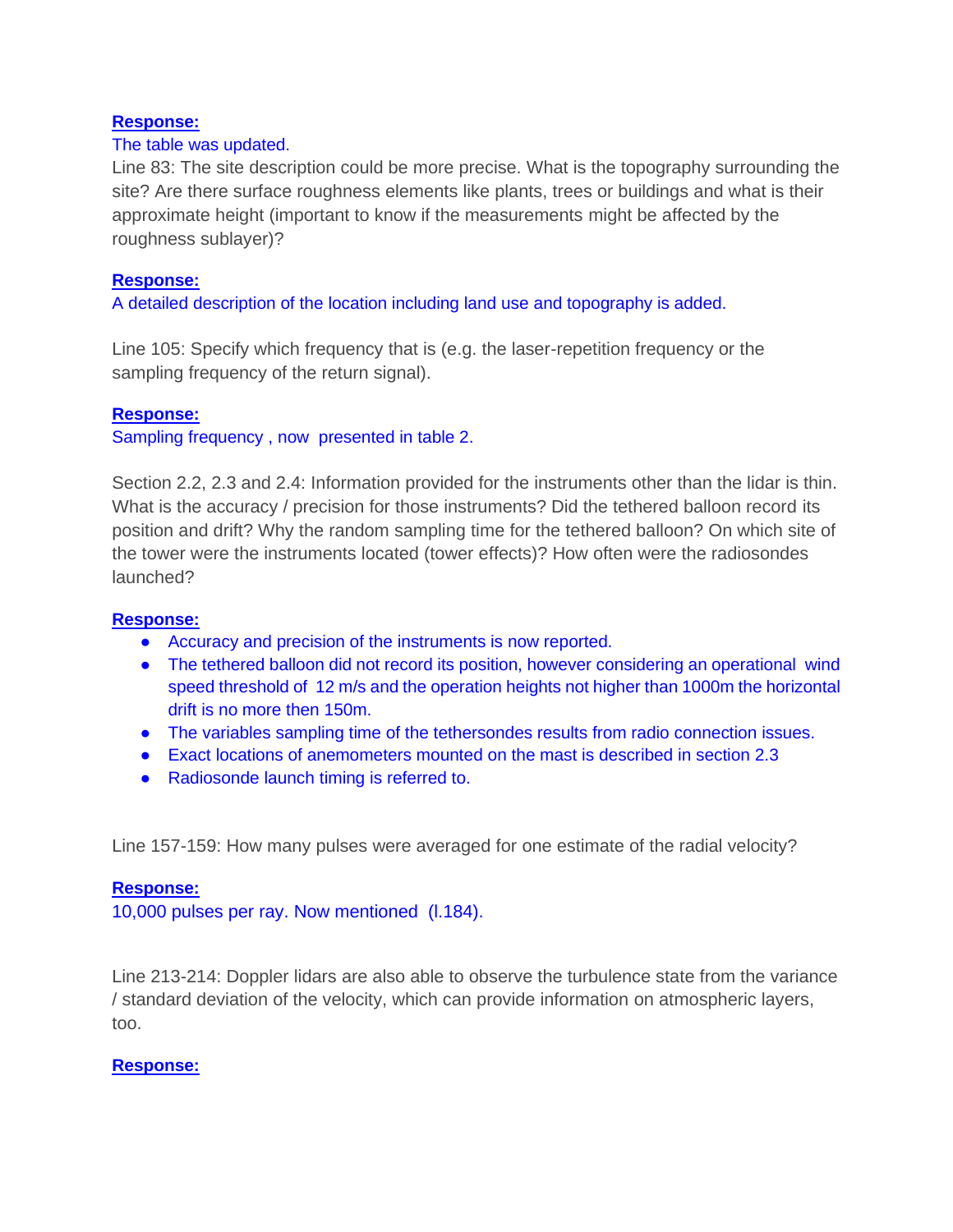## **Response:**

## The table was updated.

Line 83: The site description could be more precise. What is the topography surrounding the site? Are there surface roughness elements like plants, trees or buildings and what is their approximate height (important to know if the measurements might be affected by the roughness sublayer)?

## **Response:**

A detailed description of the location including land use and topography is added.

Line 105: Specify which frequency that is (e.g. the laser-repetition frequency or the sampling frequency of the return signal).

## **Response:**

Sampling frequency , now presented in table 2.

Section 2.2, 2.3 and 2.4: Information provided for the instruments other than the lidar is thin. What is the accuracy / precision for those instruments? Did the tethered balloon record its position and drift? Why the random sampling time for the tethered balloon? On which site of the tower were the instruments located (tower effects)? How often were the radiosondes launched?

## **Response:**

- Accuracy and precision of the instruments is now reported.
- The tethered balloon did not record its position, however considering an operational wind speed threshold of 12 m/s and the operation heights not higher than 1000m the horizontal drift is no more then 150m.
- The variables sampling time of the tethersondes results from radio connection issues.
- Exact locations of anemometers mounted on the mast is described in section 2.3
- Radiosonde launch timing is referred to.

Line 157-159: How many pulses were averaged for one estimate of the radial velocity?

#### **Response:**

10,000 pulses per ray. Now mentioned (l.184).

Line 213-214: Doppler lidars are also able to observe the turbulence state from the variance / standard deviation of the velocity, which can provide information on atmospheric layers, too.

## **Response:**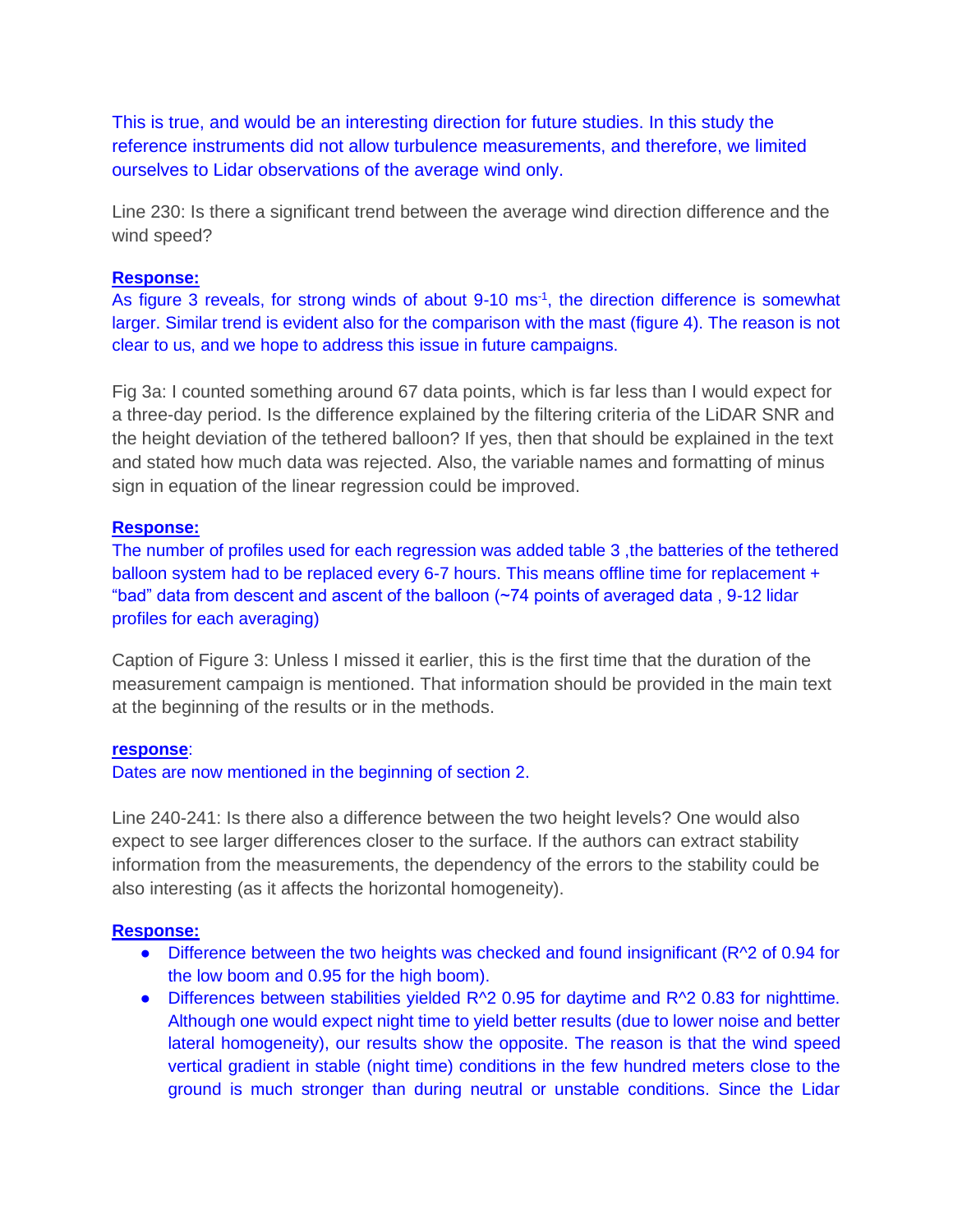This is true, and would be an interesting direction for future studies. In this study the reference instruments did not allow turbulence measurements, and therefore, we limited ourselves to Lidar observations of the average wind only.

Line 230: Is there a significant trend between the average wind direction difference and the wind speed?

#### **Response:**

As figure 3 reveals, for strong winds of about 9-10 ms<sup>-1</sup>, the direction difference is somewhat larger. Similar trend is evident also for the comparison with the mast (figure 4). The reason is not clear to us, and we hope to address this issue in future campaigns.

Fig 3a: I counted something around 67 data points, which is far less than I would expect for a three-day period. Is the difference explained by the filtering criteria of the LiDAR SNR and the height deviation of the tethered balloon? If yes, then that should be explained in the text and stated how much data was rejected. Also, the variable names and formatting of minus sign in equation of the linear regression could be improved.

#### **Response:**

The number of profiles used for each regression was added table 3 ,the batteries of the tethered balloon system had to be replaced every 6-7 hours. This means offline time for replacement + "bad" data from descent and ascent of the balloon (~74 points of averaged data , 9-12 lidar profiles for each averaging)

Caption of Figure 3: Unless I missed it earlier, this is the first time that the duration of the measurement campaign is mentioned. That information should be provided in the main text at the beginning of the results or in the methods.

#### **response**:

Dates are now mentioned in the beginning of section 2.

Line 240-241: Is there also a difference between the two height levels? One would also expect to see larger differences closer to the surface. If the authors can extract stability information from the measurements, the dependency of the errors to the stability could be also interesting (as it affects the horizontal homogeneity).

## **Response:**

- Difference between the two heights was checked and found insignificant (R^2 of 0.94 for the low boom and 0.95 for the high boom).
- Differences between stabilities yielded R^2 0.95 for daytime and R^2 0.83 for nighttime. Although one would expect night time to yield better results (due to lower noise and better lateral homogeneity), our results show the opposite. The reason is that the wind speed vertical gradient in stable (night time) conditions in the few hundred meters close to the ground is much stronger than during neutral or unstable conditions. Since the Lidar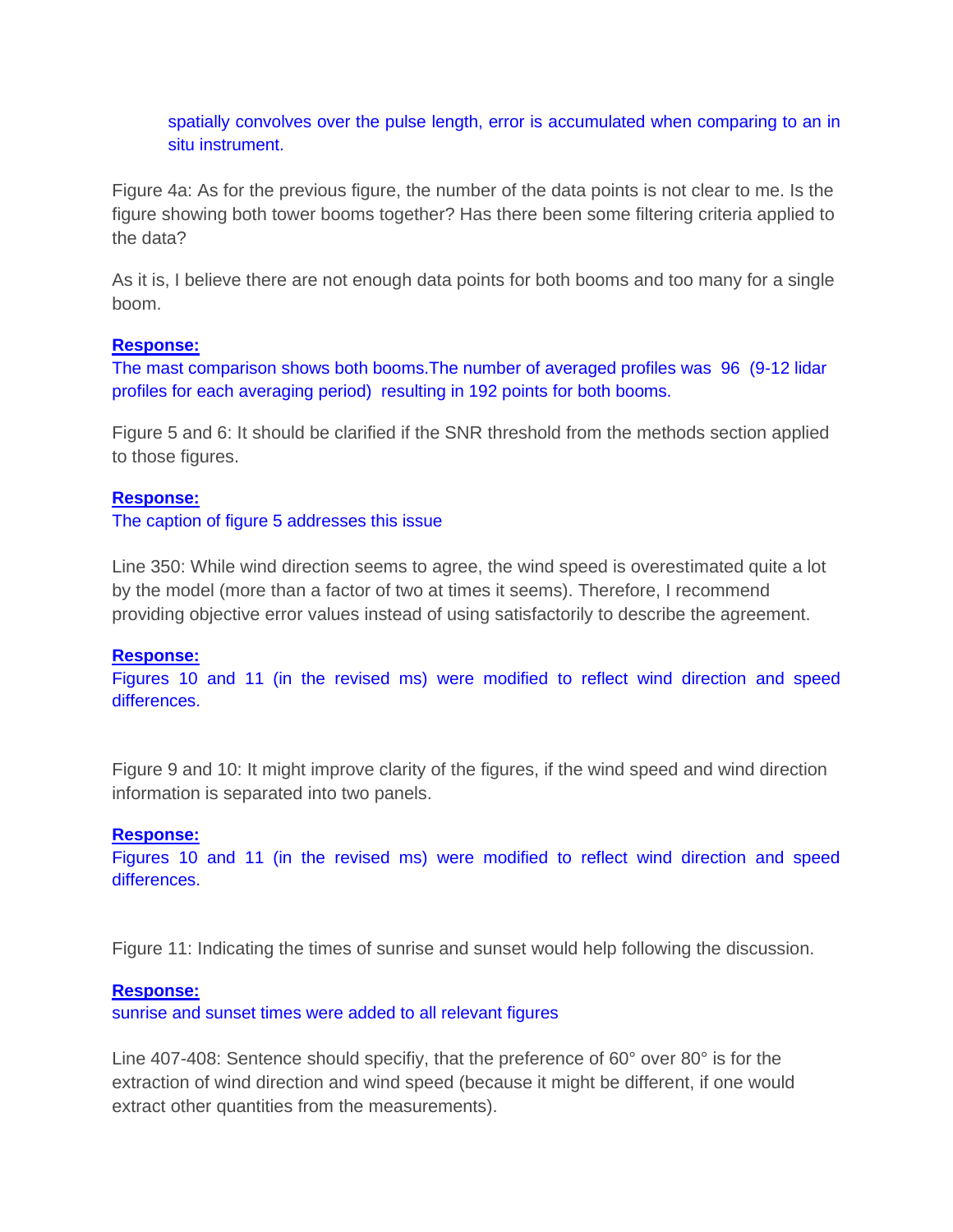spatially convolves over the pulse length, error is accumulated when comparing to an in situ instrument.

Figure 4a: As for the previous figure, the number of the data points is not clear to me. Is the figure showing both tower booms together? Has there been some filtering criteria applied to the data?

As it is, I believe there are not enough data points for both booms and too many for a single boom.

#### **Response:**

The mast comparison shows both booms.The number of averaged profiles was 96 (9-12 lidar profiles for each averaging period) resulting in 192 points for both booms.

Figure 5 and 6: It should be clarified if the SNR threshold from the methods section applied to those figures.

#### **Response:**

The caption of figure 5 addresses this issue

Line 350: While wind direction seems to agree, the wind speed is overestimated quite a lot by the model (more than a factor of two at times it seems). Therefore, I recommend providing objective error values instead of using satisfactorily to describe the agreement.

#### **Response:**

Figures 10 and 11 (in the revised ms) were modified to reflect wind direction and speed differences.

Figure 9 and 10: It might improve clarity of the figures, if the wind speed and wind direction information is separated into two panels.

#### **Response:**

Figures 10 and 11 (in the revised ms) were modified to reflect wind direction and speed differences.

Figure 11: Indicating the times of sunrise and sunset would help following the discussion.

#### **Response:**

sunrise and sunset times were added to all relevant figures

Line 407-408: Sentence should specifiy, that the preference of 60° over 80° is for the extraction of wind direction and wind speed (because it might be different, if one would extract other quantities from the measurements).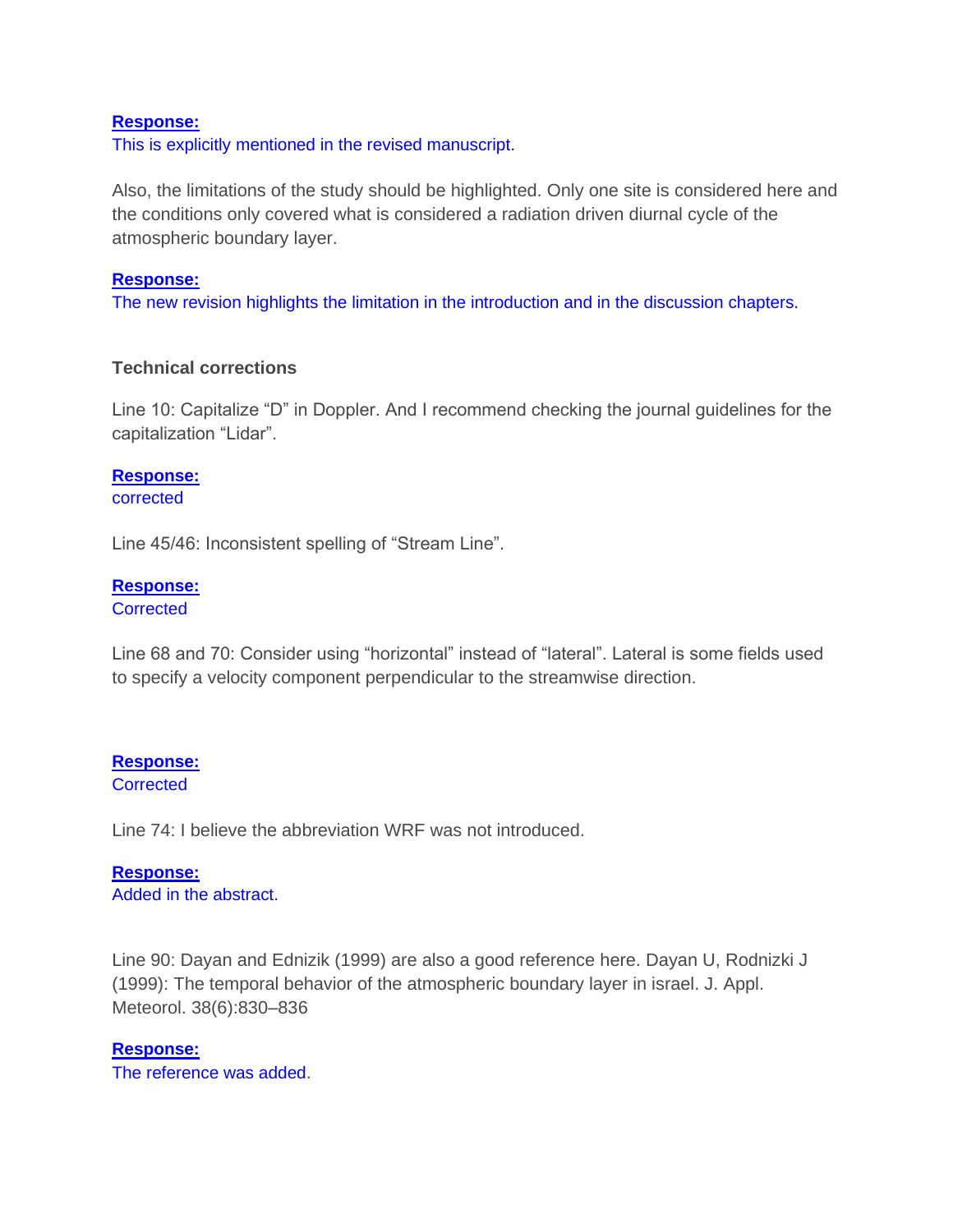#### **Response:**

This is explicitly mentioned in the revised manuscript.

Also, the limitations of the study should be highlighted. Only one site is considered here and the conditions only covered what is considered a radiation driven diurnal cycle of the atmospheric boundary layer.

#### **Response:**

The new revision highlights the limitation in the introduction and in the discussion chapters.

## **Technical corrections**

Line 10: Capitalize "D" in Doppler. And I recommend checking the journal guidelines for the capitalization "Lidar".

## **Response:**

corrected

Line 45/46: Inconsistent spelling of "Stream Line".

#### **Response:**

**Corrected** 

Line 68 and 70: Consider using "horizontal" instead of "lateral". Lateral is some fields used to specify a velocity component perpendicular to the streamwise direction.

# **Response:**

#### **Corrected**

Line 74: I believe the abbreviation WRF was not introduced.

# **Response:**

Added in the abstract.

Line 90: Dayan and Ednizik (1999) are also a good reference here. Dayan U, Rodnizki J (1999): The temporal behavior of the atmospheric boundary layer in israel. J. Appl. Meteorol. 38(6):830–836

## **Response:**

The reference was added.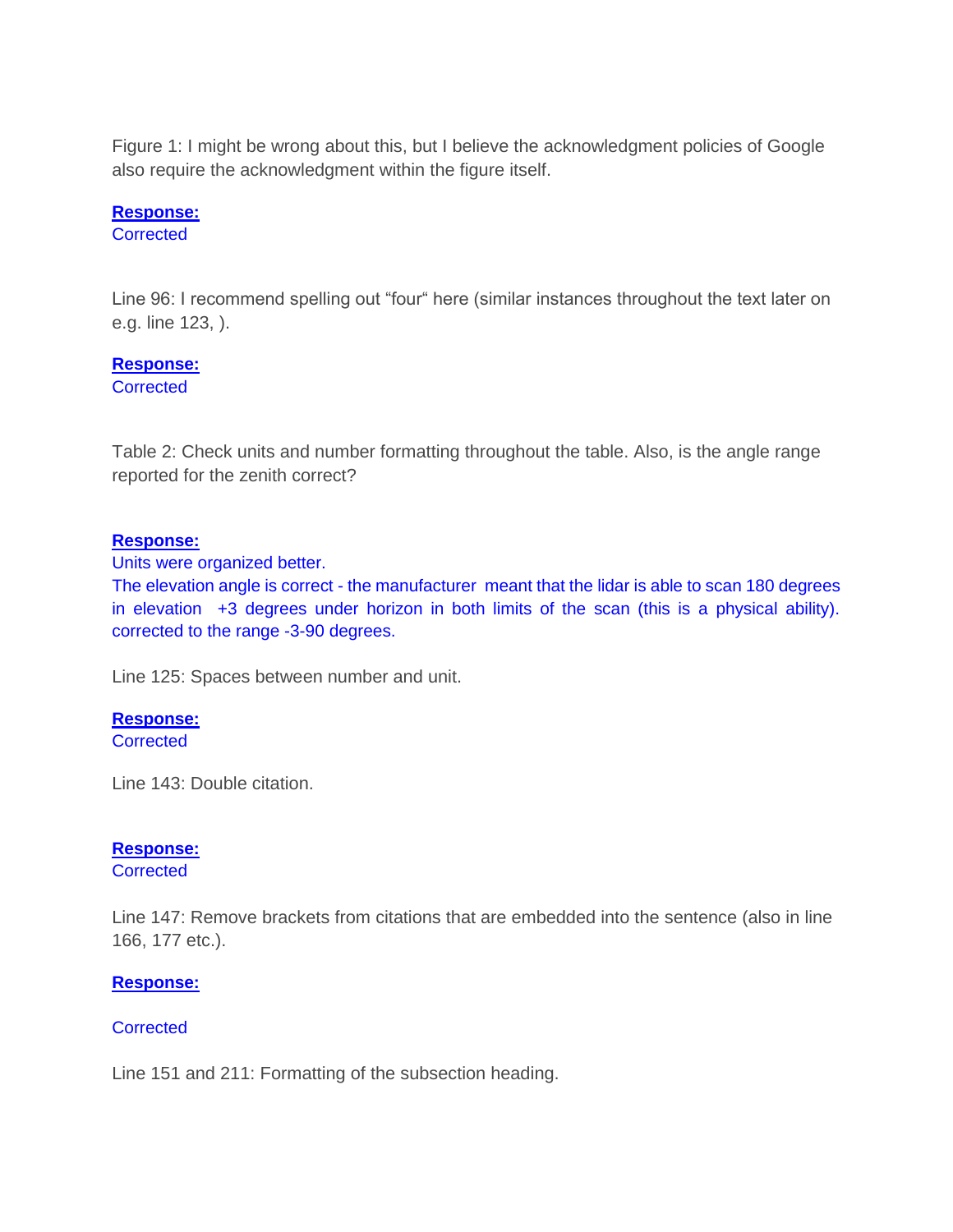Figure 1: I might be wrong about this, but I believe the acknowledgment policies of Google also require the acknowledgment within the figure itself.

## **Response:**

**Corrected** 

Line 96: I recommend spelling out "four" here (similar instances throughout the text later on e.g. line 123, ).

## **Response:**

**Corrected** 

Table 2: Check units and number formatting throughout the table. Also, is the angle range reported for the zenith correct?

## **Response:**

Units were organized better.

The elevation angle is correct - the manufacturer meant that the lidar is able to scan 180 degrees in elevation +3 degrees under horizon in both limits of the scan (this is a physical ability). corrected to the range -3-90 degrees.

Line 125: Spaces between number and unit.

## **Response:**

**Corrected** 

Line 143: Double citation.

## **Response:**

**Corrected** 

Line 147: Remove brackets from citations that are embedded into the sentence (also in line 166, 177 etc.).

## **Response:**

## **Corrected**

Line 151 and 211: Formatting of the subsection heading.